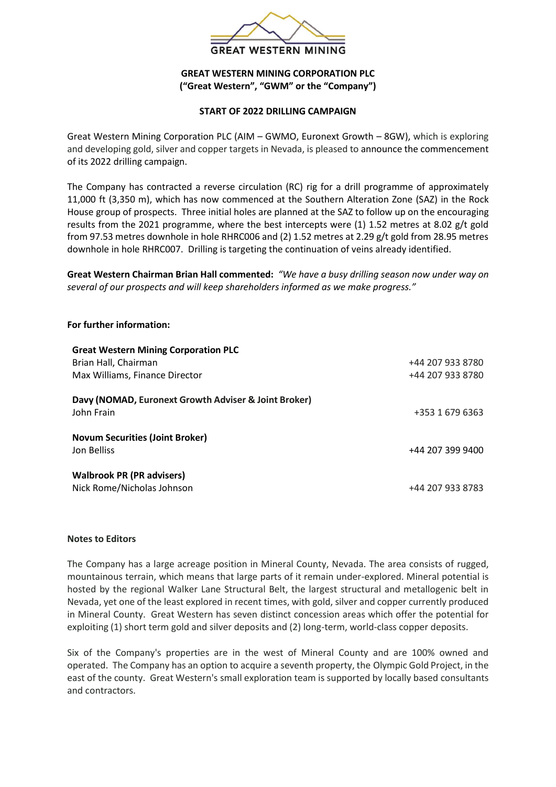

## **GREAT WESTERN MINING CORPORATION PLC ("Great Western", "GWM" or the "Company")**

## **START OF 2022 DRILLING CAMPAIGN**

Great Western Mining Corporation PLC (AIM – GWMO, Euronext Growth – 8GW), which is exploring and developing gold, silver and copper targets in Nevada, is pleased to announce the commencement of its 2022 drilling campaign.

The Company has contracted a reverse circulation (RC) rig for a drill programme of approximately 11,000 ft (3,350 m), which has now commenced at the Southern Alteration Zone (SAZ) in the Rock House group of prospects. Three initial holes are planned at the SAZ to follow up on the encouraging results from the 2021 programme, where the best intercepts were (1) 1.52 metres at 8.02 g/t gold from 97.53 metres downhole in hole RHRC006 and (2) 1.52 metres at 2.29 g/t gold from 28.95 metres downhole in hole RHRC007. Drilling is targeting the continuation of veins already identified.

**Great Western Chairman Brian Hall commented:** *"We have a busy drilling season now under way on several of our prospects and will keep shareholders informed as we make progress."*

## **For further information:**

| <b>Great Western Mining Corporation PLC</b>                        |                  |
|--------------------------------------------------------------------|------------------|
| Brian Hall, Chairman                                               | +44 207 933 8780 |
| Max Williams, Finance Director                                     | +44 207 933 8780 |
| Davy (NOMAD, Euronext Growth Adviser & Joint Broker)<br>John Frain | +353 1 679 6363  |
|                                                                    |                  |
| <b>Novum Securities (Joint Broker)</b><br>Jon Belliss              | +44 207 399 9400 |
| <b>Walbrook PR (PR advisers)</b><br>Nick Rome/Nicholas Johnson     | +44 207 933 8783 |

## **Notes to Editors**

The Company has a large acreage position in Mineral County, Nevada. The area consists of rugged, mountainous terrain, which means that large parts of it remain under-explored. Mineral potential is hosted by the regional Walker Lane Structural Belt, the largest structural and metallogenic belt in Nevada, yet one of the least explored in recent times, with gold, silver and copper currently produced in Mineral County. Great Western has seven distinct concession areas which offer the potential for exploiting (1) short term gold and silver deposits and (2) long-term, world-class copper deposits.

Six of the Company's properties are in the west of Mineral County and are 100% owned and operated. The Company has an option to acquire a seventh property, the Olympic Gold Project, in the east of the county. Great Western's small exploration team is supported by locally based consultants and contractors.